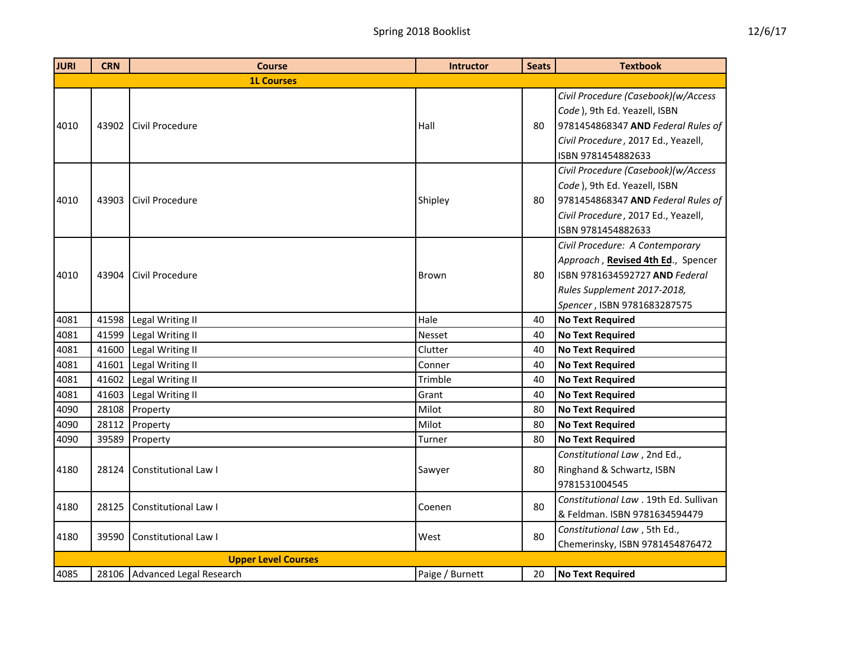| <b>JURI</b> | <b>CRN</b> | <b>Course</b>                 | <b>Intructor</b> | <b>Seats</b> | <b>Textbook</b>                                                                                                                                                        |
|-------------|------------|-------------------------------|------------------|--------------|------------------------------------------------------------------------------------------------------------------------------------------------------------------------|
|             |            | <b>1L Courses</b>             |                  |              |                                                                                                                                                                        |
| 4010        | 43902      | Civil Procedure               | Hall             | 80           | Civil Procedure (Casebook)(w/Access<br>Code), 9th Ed. Yeazell, ISBN<br>9781454868347 AND Federal Rules of<br>Civil Procedure, 2017 Ed., Yeazell,                       |
|             |            |                               |                  |              | ISBN 9781454882633                                                                                                                                                     |
| 4010        | 43903      | Civil Procedure               | Shipley          | 80           | Civil Procedure (Casebook)(w/Access<br>Code), 9th Ed. Yeazell, ISBN<br>9781454868347 AND Federal Rules of<br>Civil Procedure, 2017 Ed., Yeazell,<br>ISBN 9781454882633 |
| 4010        | 43904      | Civil Procedure               | <b>Brown</b>     | 80           | Civil Procedure: A Contemporary<br>Approach, Revised 4th Ed., Spencer<br>ISBN 9781634592727 AND Federal<br>Rules Supplement 2017-2018,<br>Spencer, ISBN 9781683287575  |
| 4081        | 41598      | Legal Writing II              | Hale             | 40           | <b>No Text Required</b>                                                                                                                                                |
| 4081        | 41599      | Legal Writing II              | Nesset           | 40           | <b>No Text Required</b>                                                                                                                                                |
| 4081        | 41600      | Legal Writing II              | Clutter          | 40           | <b>No Text Required</b>                                                                                                                                                |
| 4081        | 41601      | Legal Writing II              | Conner           | 40           | <b>No Text Required</b>                                                                                                                                                |
| 4081        | 41602      | Legal Writing II              | Trimble          | 40           | <b>No Text Required</b>                                                                                                                                                |
| 4081        | 41603      | Legal Writing II              | Grant            | 40           | <b>No Text Required</b>                                                                                                                                                |
| 4090        | 28108      | Property                      | Milot            | 80           | <b>No Text Required</b>                                                                                                                                                |
| 4090        | 28112      | Property                      | Milot            | 80           | <b>No Text Required</b>                                                                                                                                                |
| 4090        | 39589      | Property                      | Turner           | 80           | <b>No Text Required</b>                                                                                                                                                |
| 4180        | 28124      | Constitutional Law I          | Sawyer           | 80           | Constitutional Law, 2nd Ed.,<br>Ringhand & Schwartz, ISBN<br>9781531004545                                                                                             |
| 4180        | 28125      | Constitutional Law I          | Coenen           | 80           | Constitutional Law . 19th Ed. Sullivan<br>& Feldman. ISBN 9781634594479                                                                                                |
| 4180        | 39590      | Constitutional Law I          | West             | 80           | Constitutional Law, 5th Ed.,<br>Chemerinsky, ISBN 9781454876472                                                                                                        |
|             |            | <b>Upper Level Courses</b>    |                  |              |                                                                                                                                                                        |
| 4085        |            | 28106 Advanced Legal Research | Paige / Burnett  | 20           | <b>No Text Required</b>                                                                                                                                                |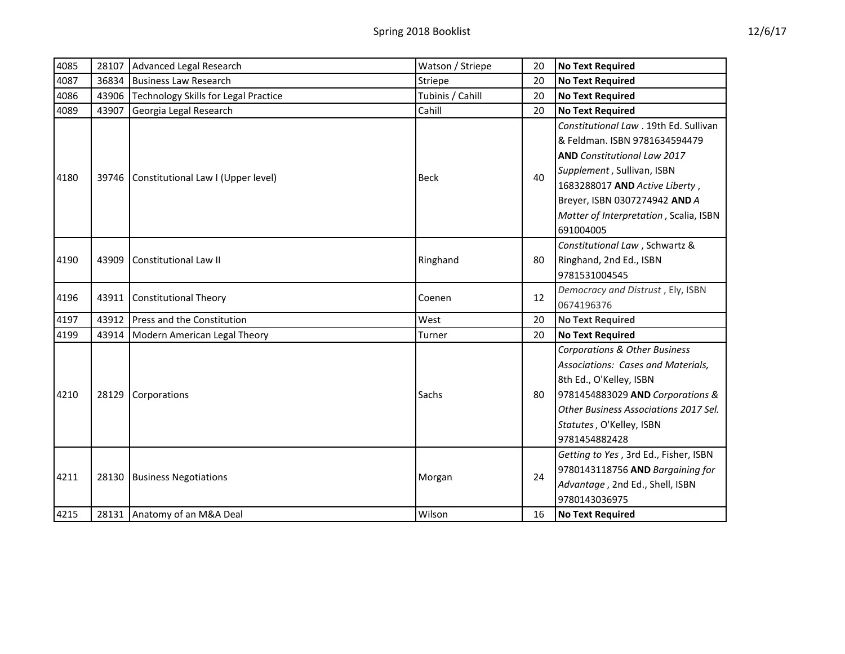| 4085 | 28107 | Advanced Legal Research                  | Watson / Striepe | 20 | <b>No Text Required</b>                                                                                                                                                                                                                                                                                                      |
|------|-------|------------------------------------------|------------------|----|------------------------------------------------------------------------------------------------------------------------------------------------------------------------------------------------------------------------------------------------------------------------------------------------------------------------------|
| 4087 | 36834 | <b>Business Law Research</b>             | Striepe          | 20 | <b>No Text Required</b>                                                                                                                                                                                                                                                                                                      |
| 4086 | 43906 | Technology Skills for Legal Practice     | Tubinis / Cahill | 20 | <b>No Text Required</b>                                                                                                                                                                                                                                                                                                      |
| 4089 | 43907 | Georgia Legal Research                   | Cahill           | 20 | <b>No Text Required</b>                                                                                                                                                                                                                                                                                                      |
|      |       |                                          |                  |    | Constitutional Law . 19th Ed. Sullivan                                                                                                                                                                                                                                                                                       |
|      |       |                                          |                  |    | & Feldman. ISBN 9781634594479                                                                                                                                                                                                                                                                                                |
|      |       |                                          |                  |    | <b>AND</b> Constitutional Law 2017                                                                                                                                                                                                                                                                                           |
| 4180 |       | 39746 Constitutional Law I (Upper level) | <b>Beck</b>      | 40 | Supplement, Sullivan, ISBN                                                                                                                                                                                                                                                                                                   |
|      |       |                                          |                  |    | 1683288017 AND Active Liberty,                                                                                                                                                                                                                                                                                               |
|      |       |                                          |                  |    | Breyer, ISBN 0307274942 AND A                                                                                                                                                                                                                                                                                                |
|      |       |                                          |                  |    | Matter of Interpretation, Scalia, ISBN<br>691004005<br>Constitutional Law, Schwartz &<br>Ringhand, 2nd Ed., ISBN<br>9781531004545<br>Democracy and Distrust, Ely, ISBN<br>0674196376<br><b>No Text Required</b><br><b>No Text Required</b><br><b>Corporations &amp; Other Business</b><br>Associations: Cases and Materials, |
|      |       |                                          |                  |    |                                                                                                                                                                                                                                                                                                                              |
|      |       |                                          |                  |    |                                                                                                                                                                                                                                                                                                                              |
| 4190 | 43909 | <b>Constitutional Law II</b>             | Ringhand         | 80 |                                                                                                                                                                                                                                                                                                                              |
|      |       |                                          |                  |    |                                                                                                                                                                                                                                                                                                                              |
| 4196 | 43911 | <b>Constitutional Theory</b>             | Coenen           | 12 |                                                                                                                                                                                                                                                                                                                              |
|      |       |                                          |                  |    |                                                                                                                                                                                                                                                                                                                              |
| 4197 | 43912 | Press and the Constitution               | West             | 20 |                                                                                                                                                                                                                                                                                                                              |
| 4199 | 43914 | Modern American Legal Theory             | Turner           | 20 |                                                                                                                                                                                                                                                                                                                              |
|      |       |                                          |                  |    |                                                                                                                                                                                                                                                                                                                              |
|      |       |                                          |                  |    |                                                                                                                                                                                                                                                                                                                              |
|      |       |                                          |                  |    | 8th Ed., O'Kelley, ISBN                                                                                                                                                                                                                                                                                                      |
| 4210 |       | 28129 Corporations                       | Sachs            | 80 | 9781454883029 AND Corporations &                                                                                                                                                                                                                                                                                             |
|      |       |                                          |                  |    | Other Business Associations 2017 Sel.                                                                                                                                                                                                                                                                                        |
|      |       |                                          |                  |    | Statutes, O'Kelley, ISBN                                                                                                                                                                                                                                                                                                     |
|      |       |                                          |                  |    | 9781454882428                                                                                                                                                                                                                                                                                                                |
|      |       |                                          |                  |    | Getting to Yes, 3rd Ed., Fisher, ISBN                                                                                                                                                                                                                                                                                        |
| 4211 |       | 28130 Business Negotiations              | Morgan           | 24 | 9780143118756 AND Bargaining for                                                                                                                                                                                                                                                                                             |
|      |       |                                          |                  |    | Advantage, 2nd Ed., Shell, ISBN                                                                                                                                                                                                                                                                                              |
|      |       |                                          |                  |    | 9780143036975                                                                                                                                                                                                                                                                                                                |
| 4215 |       | 28131 Anatomy of an M&A Deal             | Wilson           | 16 | <b>No Text Required</b>                                                                                                                                                                                                                                                                                                      |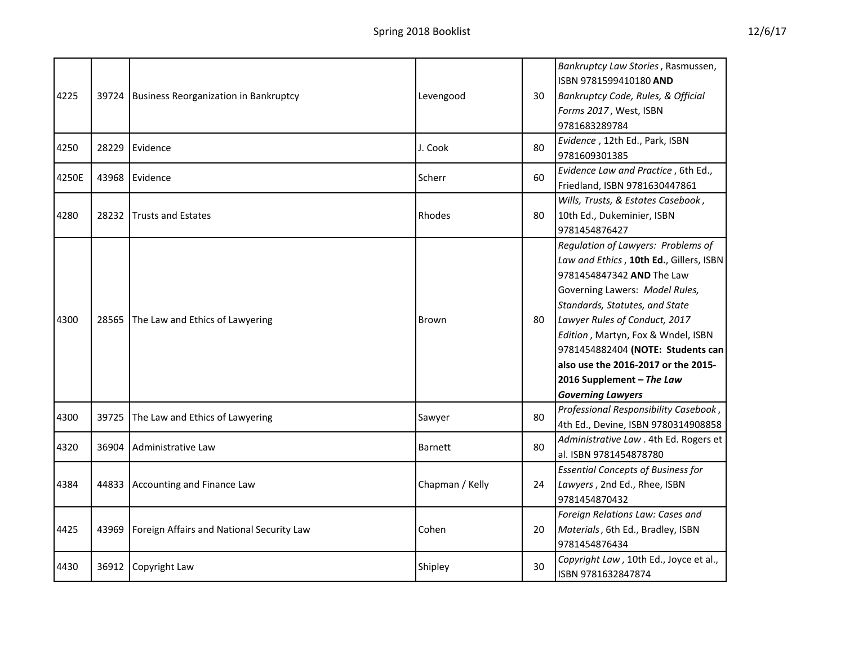| 4225  | 39724 | <b>Business Reorganization in Bankruptcy</b> | Levengood       | 30 | Bankruptcy Law Stories, Rasmussen,<br>ISBN 9781599410180 AND<br>Bankruptcy Code, Rules, & Official<br>Forms 2017, West, ISBN<br>9781683289784                                                                                                                                                                                                                                              |
|-------|-------|----------------------------------------------|-----------------|----|--------------------------------------------------------------------------------------------------------------------------------------------------------------------------------------------------------------------------------------------------------------------------------------------------------------------------------------------------------------------------------------------|
| 4250  | 28229 | Evidence                                     | J. Cook         | 80 | Evidence, 12th Ed., Park, ISBN<br>9781609301385                                                                                                                                                                                                                                                                                                                                            |
| 4250E | 43968 | Evidence                                     | Scherr          | 60 | Evidence Law and Practice, 6th Ed.,<br>Friedland, ISBN 9781630447861                                                                                                                                                                                                                                                                                                                       |
| 4280  | 28232 | <b>Trusts and Estates</b>                    | Rhodes          | 80 | Wills, Trusts, & Estates Casebook,<br>10th Ed., Dukeminier, ISBN<br>9781454876427                                                                                                                                                                                                                                                                                                          |
| 4300  | 28565 | The Law and Ethics of Lawyering              | <b>Brown</b>    | 80 | Regulation of Lawyers: Problems of<br>Law and Ethics, 10th Ed., Gillers, ISBN<br>9781454847342 AND The Law<br>Governing Lawers: Model Rules,<br>Standards, Statutes, and State<br>Lawyer Rules of Conduct, 2017<br>Edition, Martyn, Fox & Wndel, ISBN<br>9781454882404 (NOTE: Students can<br>also use the 2016-2017 or the 2015-<br>2016 Supplement - The Law<br><b>Governing Lawyers</b> |
| 4300  | 39725 | The Law and Ethics of Lawyering              | Sawyer          | 80 | Professional Responsibility Casebook,<br>4th Ed., Devine, ISBN 9780314908858                                                                                                                                                                                                                                                                                                               |
| 4320  | 36904 | Administrative Law                           | <b>Barnett</b>  | 80 | Administrative Law . 4th Ed. Rogers et<br>al. ISBN 9781454878780                                                                                                                                                                                                                                                                                                                           |
| 4384  | 44833 | Accounting and Finance Law                   | Chapman / Kelly | 24 | <b>Essential Concepts of Business for</b><br>Lawyers, 2nd Ed., Rhee, ISBN<br>9781454870432                                                                                                                                                                                                                                                                                                 |
| 4425  | 43969 | Foreign Affairs and National Security Law    | Cohen           | 20 | Foreign Relations Law: Cases and<br>Materials, 6th Ed., Bradley, ISBN<br>9781454876434                                                                                                                                                                                                                                                                                                     |
| 4430  | 36912 | Copyright Law                                | Shipley         | 30 | Copyright Law, 10th Ed., Joyce et al.,<br>ISBN 9781632847874                                                                                                                                                                                                                                                                                                                               |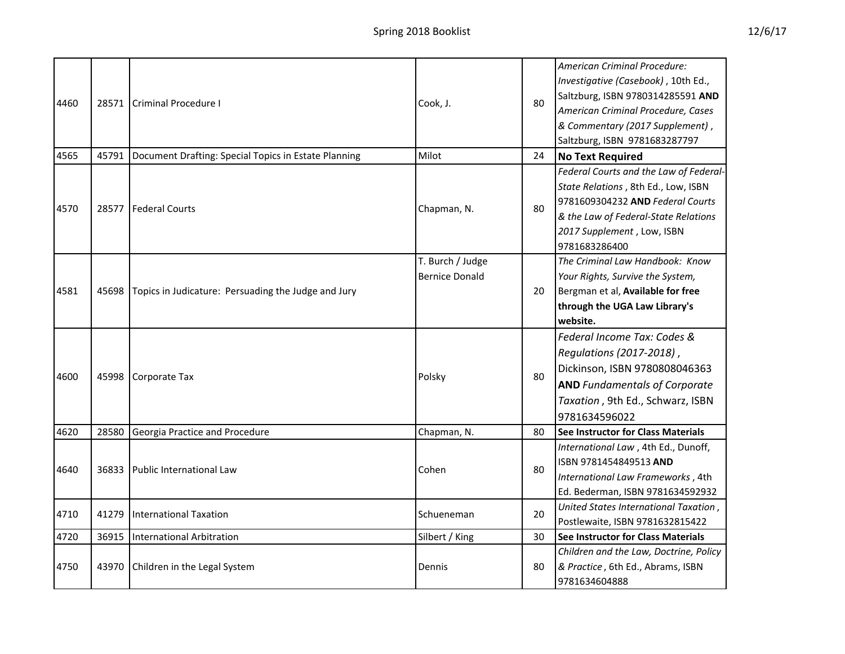|--|

|      |       |                                                           |                       |    | American Criminal Procedure:                                                                                                                                                                                           |
|------|-------|-----------------------------------------------------------|-----------------------|----|------------------------------------------------------------------------------------------------------------------------------------------------------------------------------------------------------------------------|
|      |       |                                                           |                       |    | Investigative (Casebook), 10th Ed.,                                                                                                                                                                                    |
|      |       |                                                           |                       |    | Saltzburg, ISBN 9780314285591 AND                                                                                                                                                                                      |
| 4460 | 28571 | <b>Criminal Procedure I</b>                               | Cook, J.              | 80 | American Criminal Procedure, Cases                                                                                                                                                                                     |
|      |       |                                                           |                       |    | & Commentary (2017 Supplement),                                                                                                                                                                                        |
|      |       |                                                           |                       |    | Saltzburg, ISBN 9781683287797                                                                                                                                                                                          |
| 4565 | 45791 | Document Drafting: Special Topics in Estate Planning      | Milot                 | 24 | <b>No Text Required</b>                                                                                                                                                                                                |
|      |       |                                                           |                       |    | Federal Courts and the Law of Federal-                                                                                                                                                                                 |
|      |       |                                                           |                       |    | State Relations, 8th Ed., Low, ISBN                                                                                                                                                                                    |
| 4570 | 28577 | <b>Federal Courts</b>                                     | Chapman, N.           | 80 | 9781609304232 AND Federal Courts                                                                                                                                                                                       |
|      |       |                                                           |                       |    | & the Law of Federal-State Relations                                                                                                                                                                                   |
|      |       |                                                           |                       |    | 2017 Supplement, Low, ISBN                                                                                                                                                                                             |
|      |       |                                                           |                       |    | 9781683286400                                                                                                                                                                                                          |
|      |       |                                                           | T. Burch / Judge      |    |                                                                                                                                                                                                                        |
|      |       |                                                           | <b>Bernice Donald</b> |    | Your Rights, Survive the System,                                                                                                                                                                                       |
| 4581 |       | 45698 Topics in Judicature: Persuading the Judge and Jury |                       | 20 | Bergman et al, Available for free                                                                                                                                                                                      |
|      |       |                                                           |                       |    | through the UGA Law Library's<br>website.<br>Federal Income Tax: Codes &                                                                                                                                               |
|      |       |                                                           |                       |    |                                                                                                                                                                                                                        |
|      |       |                                                           |                       |    |                                                                                                                                                                                                                        |
|      |       |                                                           |                       |    | Regulations (2017-2018),                                                                                                                                                                                               |
| 4600 | 45998 | Corporate Tax                                             | Polsky                | 80 | Dickinson, ISBN 9780808046363<br><b>AND Fundamentals of Corporate</b><br>Taxation, 9th Ed., Schwarz, ISBN<br>9781634596022                                                                                             |
|      |       |                                                           |                       |    |                                                                                                                                                                                                                        |
|      |       |                                                           |                       |    | The Criminal Law Handbook: Know<br><b>See Instructor for Class Materials</b><br>International Law, 4th Ed., Dunoff,<br>ISBN 9781454849513 AND<br>International Law Frameworks, 4th<br>Ed. Bederman, ISBN 9781634592932 |
|      |       |                                                           |                       |    |                                                                                                                                                                                                                        |
| 4620 | 28580 | Georgia Practice and Procedure                            | Chapman, N.           | 80 |                                                                                                                                                                                                                        |
|      |       |                                                           |                       |    |                                                                                                                                                                                                                        |
| 4640 |       | 36833 Public International Law                            | Cohen                 | 80 |                                                                                                                                                                                                                        |
|      |       |                                                           |                       |    |                                                                                                                                                                                                                        |
|      |       |                                                           |                       |    |                                                                                                                                                                                                                        |
| 4710 | 41279 | <b>International Taxation</b>                             | Schueneman            | 20 | United States International Taxation,                                                                                                                                                                                  |
|      |       |                                                           |                       |    | Postlewaite, ISBN 9781632815422                                                                                                                                                                                        |
| 4720 | 36915 | <b>International Arbitration</b>                          | Silbert / King        | 30 | See Instructor for Class Materials                                                                                                                                                                                     |
|      |       |                                                           |                       |    | Children and the Law, Doctrine, Policy                                                                                                                                                                                 |
| 4750 | 43970 | Children in the Legal System                              | Dennis                | 80 | & Practice, 6th Ed., Abrams, ISBN                                                                                                                                                                                      |
|      |       |                                                           |                       |    | 9781634604888                                                                                                                                                                                                          |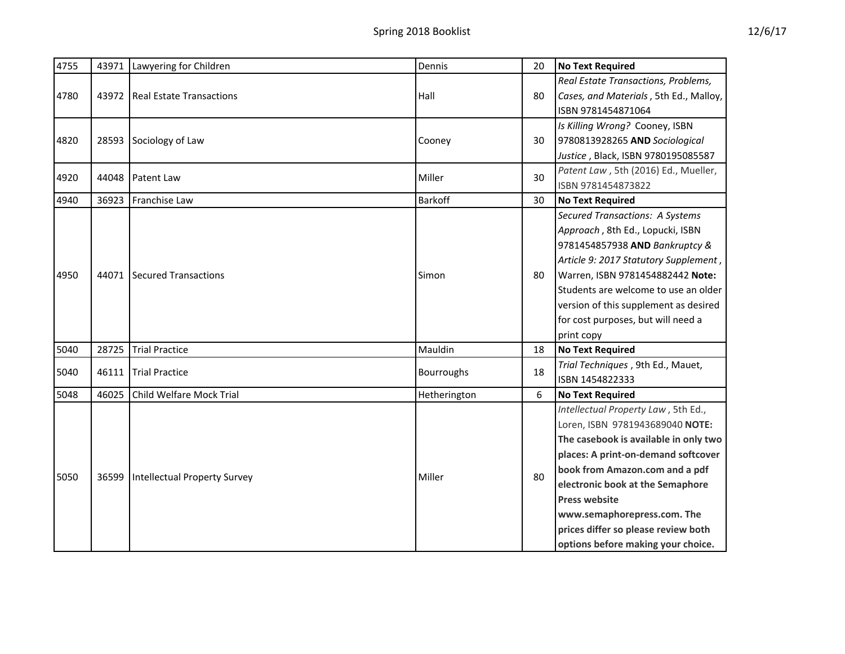| 4755 | 43971 | Lawyering for Children              | Dennis       | 20 | <b>No Text Required</b>                                                                                                                                                                                                                                                                                                                                          |
|------|-------|-------------------------------------|--------------|----|------------------------------------------------------------------------------------------------------------------------------------------------------------------------------------------------------------------------------------------------------------------------------------------------------------------------------------------------------------------|
| 4780 | 43972 | <b>Real Estate Transactions</b>     | Hall         | 80 | Real Estate Transactions, Problems,<br>Cases, and Materials, 5th Ed., Malloy,<br>ISBN 9781454871064                                                                                                                                                                                                                                                              |
| 4820 | 28593 | Sociology of Law                    | Cooney       | 30 | Is Killing Wrong? Cooney, ISBN<br>9780813928265 AND Sociological<br>Justice, Black, ISBN 9780195085587                                                                                                                                                                                                                                                           |
| 4920 | 44048 | Patent Law                          | Miller       | 30 | Patent Law, 5th (2016) Ed., Mueller,<br>ISBN 9781454873822                                                                                                                                                                                                                                                                                                       |
| 4940 | 36923 | Franchise Law                       | Barkoff      | 30 | <b>No Text Required</b>                                                                                                                                                                                                                                                                                                                                          |
| 4950 | 44071 | Secured Transactions                | Simon        | 80 | <b>Secured Transactions: A Systems</b><br>Approach, 8th Ed., Lopucki, ISBN<br>9781454857938 AND Bankruptcy &<br>Article 9: 2017 Statutory Supplement,<br>Warren, ISBN 9781454882442 Note:<br>Students are welcome to use an older<br>version of this supplement as desired<br>for cost purposes, but will need a<br>print copy                                   |
| 5040 | 28725 | <b>Trial Practice</b>               | Mauldin      | 18 | <b>No Text Required</b>                                                                                                                                                                                                                                                                                                                                          |
| 5040 | 46111 | <b>Trial Practice</b>               | Bourroughs   | 18 | Trial Techniques, 9th Ed., Mauet,<br>ISBN 1454822333                                                                                                                                                                                                                                                                                                             |
| 5048 | 46025 | Child Welfare Mock Trial            | Hetherington | 6  | <b>No Text Required</b>                                                                                                                                                                                                                                                                                                                                          |
| 5050 | 36599 | <b>Intellectual Property Survey</b> | Miller       | 80 | Intellectual Property Law, 5th Ed.,<br>Loren, ISBN 9781943689040 NOTE:<br>The casebook is available in only two<br>places: A print-on-demand softcover<br>book from Amazon.com and a pdf<br>electronic book at the Semaphore<br><b>Press website</b><br>www.semaphorepress.com. The<br>prices differ so please review both<br>options before making your choice. |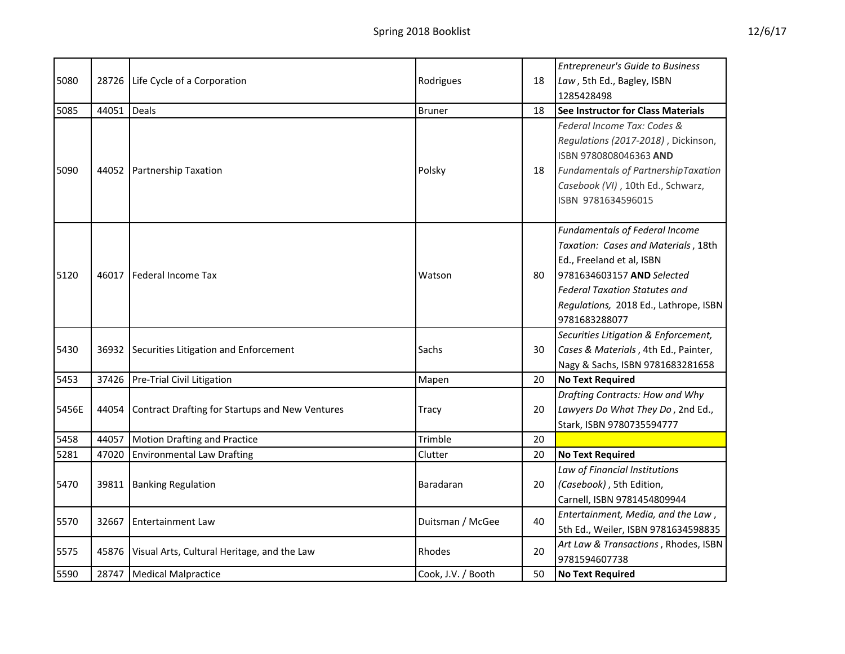|       |       |                                                 |                    |    | <b>Entrepreneur's Guide to Business</b>                                                                                                                                                                                                   |
|-------|-------|-------------------------------------------------|--------------------|----|-------------------------------------------------------------------------------------------------------------------------------------------------------------------------------------------------------------------------------------------|
| 5080  | 28726 | Life Cycle of a Corporation                     | Rodrigues          | 18 | Law, 5th Ed., Bagley, ISBN                                                                                                                                                                                                                |
|       |       |                                                 |                    |    | 1285428498                                                                                                                                                                                                                                |
| 5085  | 44051 | Deals                                           | <b>Bruner</b>      | 18 | <b>See Instructor for Class Materials</b>                                                                                                                                                                                                 |
| 5090  | 44052 | <b>Partnership Taxation</b>                     | Polsky             | 18 | Federal Income Tax: Codes &<br>Regulations (2017-2018), Dickinson,<br>ISBN 9780808046363 AND<br>Fundamentals of PartnershipTaxation<br>Casebook (VI), 10th Ed., Schwarz,<br>ISBN 9781634596015                                            |
| 5120  | 46017 | Federal Income Tax                              | Watson             | 80 | <b>Fundamentals of Federal Income</b><br>Taxation: Cases and Materials, 18th<br>Ed., Freeland et al, ISBN<br>9781634603157 AND Selected<br><b>Federal Taxation Statutes and</b><br>Regulations, 2018 Ed., Lathrope, ISBN<br>9781683288077 |
| 5430  | 36932 | Securities Litigation and Enforcement           | Sachs              | 30 | Securities Litigation & Enforcement,<br>Cases & Materials, 4th Ed., Painter,<br>Nagy & Sachs, ISBN 9781683281658                                                                                                                          |
| 5453  | 37426 | Pre-Trial Civil Litigation                      | Mapen              | 20 | <b>No Text Required</b>                                                                                                                                                                                                                   |
| 5456E | 44054 | Contract Drafting for Startups and New Ventures | Tracy              | 20 | Drafting Contracts: How and Why<br>Lawyers Do What They Do, 2nd Ed.,<br>Stark, ISBN 9780735594777                                                                                                                                         |
| 5458  | 44057 | <b>Motion Drafting and Practice</b>             | Trimble            | 20 |                                                                                                                                                                                                                                           |
| 5281  | 47020 | <b>Environmental Law Drafting</b>               | Clutter            | 20 | <b>No Text Required</b>                                                                                                                                                                                                                   |
| 5470  | 39811 | <b>Banking Regulation</b>                       | Baradaran          | 20 | Law of Financial Institutions<br>(Casebook), 5th Edition,<br>Carnell, ISBN 9781454809944                                                                                                                                                  |
| 5570  | 32667 | <b>Entertainment Law</b>                        | Duitsman / McGee   | 40 | Entertainment, Media, and the Law,<br>5th Ed., Weiler, ISBN 9781634598835                                                                                                                                                                 |
| 5575  | 45876 | Visual Arts, Cultural Heritage, and the Law     | Rhodes             | 20 | Art Law & Transactions, Rhodes, ISBN<br>9781594607738                                                                                                                                                                                     |
| 5590  | 28747 | <b>Medical Malpractice</b>                      | Cook, J.V. / Booth | 50 | <b>No Text Required</b>                                                                                                                                                                                                                   |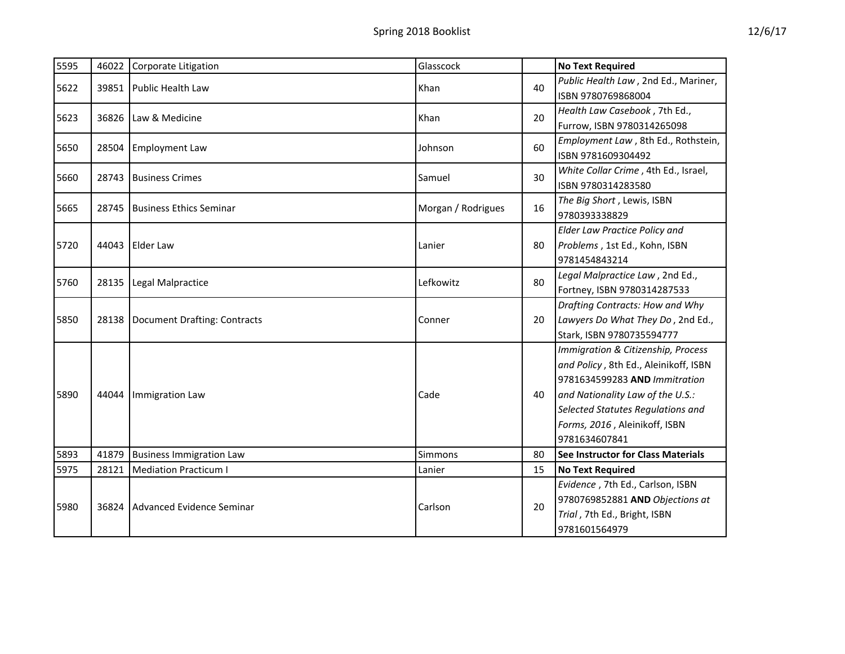| 5595 |       | 46022 Corporate Litigation      | Glasscock          |    | <b>No Text Required</b>                                                                                                                                                                                                                 |
|------|-------|---------------------------------|--------------------|----|-----------------------------------------------------------------------------------------------------------------------------------------------------------------------------------------------------------------------------------------|
| 5622 | 39851 | <b>Public Health Law</b>        | Khan               | 40 | Public Health Law, 2nd Ed., Mariner,<br>ISBN 9780769868004                                                                                                                                                                              |
| 5623 | 36826 | Law & Medicine                  | Khan               | 20 | Health Law Casebook, 7th Ed.,<br>Furrow, ISBN 9780314265098                                                                                                                                                                             |
| 5650 | 28504 | <b>Employment Law</b>           | Johnson            | 60 | Employment Law, 8th Ed., Rothstein,<br>ISBN 9781609304492                                                                                                                                                                               |
| 5660 | 28743 | <b>Business Crimes</b>          | Samuel             | 30 | White Collar Crime, 4th Ed., Israel,<br>ISBN 9780314283580                                                                                                                                                                              |
| 5665 | 28745 | <b>Business Ethics Seminar</b>  | Morgan / Rodrigues | 16 | The Big Short, Lewis, ISBN<br>9780393338829                                                                                                                                                                                             |
| 5720 | 44043 | <b>Elder Law</b>                | Lanier             | 80 | <b>Elder Law Practice Policy and</b><br>Problems, 1st Ed., Kohn, ISBN<br>9781454843214                                                                                                                                                  |
| 5760 | 28135 | Legal Malpractice               | Lefkowitz          | 80 | Legal Malpractice Law, 2nd Ed.,<br>Fortney, ISBN 9780314287533                                                                                                                                                                          |
| 5850 | 28138 | Document Drafting: Contracts    | Conner             | 20 | Drafting Contracts: How and Why<br>Lawyers Do What They Do, 2nd Ed.,<br>Stark, ISBN 9780735594777                                                                                                                                       |
| 5890 | 44044 | Immigration Law                 | Cade               | 40 | Immigration & Citizenship, Process<br>and Policy, 8th Ed., Aleinikoff, ISBN<br>9781634599283 AND Immitration<br>and Nationality Law of the U.S.:<br>Selected Statutes Regulations and<br>Forms, 2016, Aleinikoff, ISBN<br>9781634607841 |
| 5893 | 41879 | <b>Business Immigration Law</b> | Simmons            | 80 | See Instructor for Class Materials                                                                                                                                                                                                      |
| 5975 | 28121 | <b>Mediation Practicum I</b>    | Lanier             | 15 | <b>No Text Required</b>                                                                                                                                                                                                                 |
| 5980 | 36824 | Advanced Evidence Seminar       | Carlson            | 20 | Evidence, 7th Ed., Carlson, ISBN<br>9780769852881 AND Objections at<br>Trial, 7th Ed., Bright, ISBN<br>9781601564979                                                                                                                    |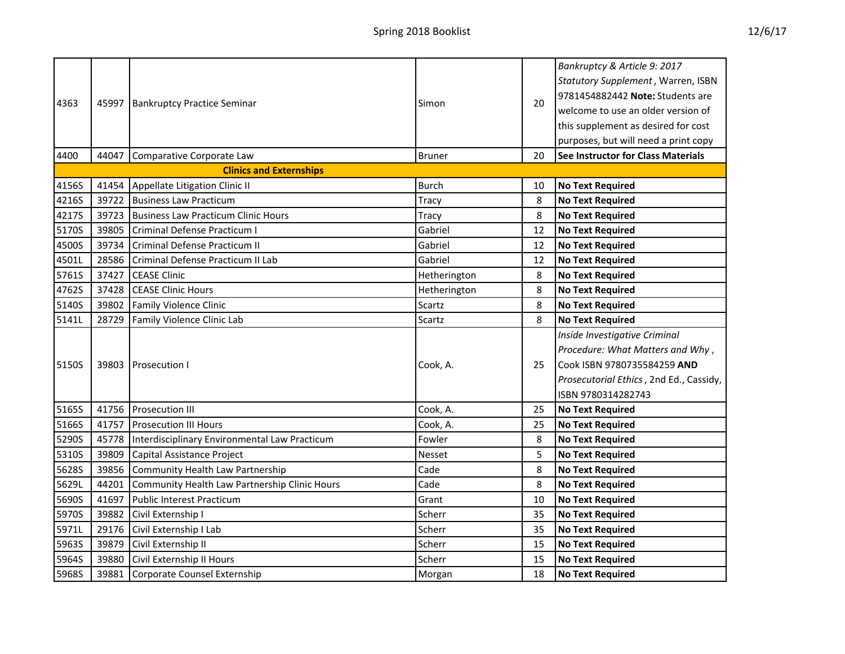| 4363  |       | 45997   Bankruptcy Practice Seminar           | Simon         | 20 | Bankruptcy & Article 9: 2017<br>Statutory Supplement, Warren, ISBN<br>9781454882442 Note: Students are<br>welcome to use an older version of<br>this supplement as desired for cost |
|-------|-------|-----------------------------------------------|---------------|----|-------------------------------------------------------------------------------------------------------------------------------------------------------------------------------------|
|       |       |                                               |               |    | purposes, but will need a print copy                                                                                                                                                |
| 4400  | 44047 | Comparative Corporate Law                     | <b>Bruner</b> | 20 | See Instructor for Class Materials                                                                                                                                                  |
|       |       | <b>Clinics and Externships</b>                |               |    |                                                                                                                                                                                     |
| 4156S | 41454 | Appellate Litigation Clinic II                | <b>Burch</b>  | 10 | <b>No Text Required</b>                                                                                                                                                             |
| 4216S | 39722 | <b>Business Law Practicum</b>                 | <b>Tracy</b>  | 8  | <b>No Text Required</b>                                                                                                                                                             |
| 4217S | 39723 | <b>Business Law Practicum Clinic Hours</b>    | Tracy         | 8  | <b>No Text Required</b>                                                                                                                                                             |
| 5170S | 39805 | Criminal Defense Practicum I                  | Gabriel       | 12 | <b>No Text Required</b>                                                                                                                                                             |
| 4500S | 39734 | Criminal Defense Practicum II                 | Gabriel       | 12 | <b>No Text Required</b>                                                                                                                                                             |
| 4501L | 28586 | Criminal Defense Practicum II Lab             | Gabriel       | 12 | <b>No Text Required</b>                                                                                                                                                             |
| 5761S | 37427 | <b>CEASE Clinic</b>                           | Hetherington  | 8  | <b>No Text Required</b>                                                                                                                                                             |
| 4762S | 37428 | <b>CEASE Clinic Hours</b>                     | Hetherington  | 8  | <b>No Text Required</b>                                                                                                                                                             |
| 5140S | 39802 | <b>Family Violence Clinic</b>                 | Scartz        | 8  | <b>No Text Required</b>                                                                                                                                                             |
| 5141L | 28729 | Family Violence Clinic Lab                    | Scartz        | 8  | <b>No Text Required</b>                                                                                                                                                             |
| 5150S | 39803 | <b>Prosecution I</b>                          | Cook, A.      | 25 | Inside Investigative Criminal<br>Procedure: What Matters and Why,<br>Cook ISBN 9780735584259 AND<br>Prosecutorial Ethics, 2nd Ed., Cassidy,<br>ISBN 9780314282743                   |
| 5165S | 41756 | <b>Prosecution III</b>                        | Cook, A.      | 25 | <b>No Text Required</b>                                                                                                                                                             |
| 5166S | 41757 | <b>Prosecution III Hours</b>                  | Cook, A.      | 25 | <b>No Text Required</b>                                                                                                                                                             |
| 5290S | 45778 | Interdisciplinary Environmental Law Practicum | Fowler        | 8  | <b>No Text Required</b>                                                                                                                                                             |
| 5310S | 39809 | Capital Assistance Project                    | Nesset        | 5  | <b>No Text Required</b>                                                                                                                                                             |
| 5628S | 39856 | <b>Community Health Law Partnership</b>       | Cade          | 8  | <b>No Text Required</b>                                                                                                                                                             |
| 5629L | 44201 | Community Health Law Partnership Clinic Hours | Cade          | 8  | <b>No Text Required</b>                                                                                                                                                             |
| 5690S | 41697 | <b>Public Interest Practicum</b>              | Grant         | 10 | <b>No Text Required</b>                                                                                                                                                             |
| 5970S | 39882 | Civil Externship I                            | Scherr        | 35 | <b>No Text Required</b>                                                                                                                                                             |
| 5971L | 29176 | Civil Externship I Lab                        | Scherr        | 35 | <b>No Text Required</b>                                                                                                                                                             |
| 5963S | 39879 | Civil Externship II                           | Scherr        | 15 | <b>No Text Required</b>                                                                                                                                                             |
| 5964S | 39880 | Civil Externship II Hours                     | Scherr        | 15 | <b>No Text Required</b>                                                                                                                                                             |

5968S 39881 Corporate Counsel Externship Morgan Morgan 18 No Text Required